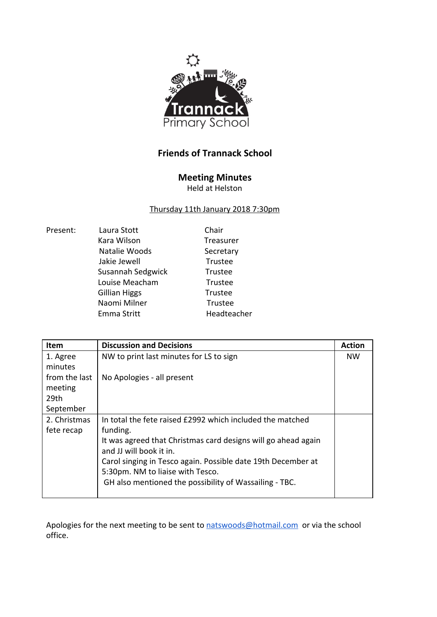

## **Friends of Trannack School**

## **Meeting Minutes**

Held at Helston

## Thursday 11th January 2018 7:30pm

| Present: | Laura Stott          | Chair        |
|----------|----------------------|--------------|
|          |                      |              |
|          | Kara Wilson          | <b>Treas</b> |
|          | Natalie Woods        | Secre        |
|          | Jakie Jewell         | Trust        |
|          | Susannah Sedgwick    | Trust        |
|          | Louise Meacham       | Trust        |
|          | <b>Gillian Higgs</b> | Trust        |
|          | Naomi Milner         | Trust        |
|          | Emma Stritt          | Head         |

Treasurer Secretary **Trustee** Trustee **Trustee** Trustee Trustee Headteacher

| <b>Item</b>   | <b>Discussion and Decisions</b>                               | <b>Action</b> |
|---------------|---------------------------------------------------------------|---------------|
| 1. Agree      | NW to print last minutes for LS to sign                       | <b>NW</b>     |
| minutes       |                                                               |               |
| from the last | No Apologies - all present                                    |               |
| meeting       |                                                               |               |
| 29th          |                                                               |               |
| September     |                                                               |               |
| 2. Christmas  | In total the fete raised £2992 which included the matched     |               |
| fete recap    | funding.                                                      |               |
|               | It was agreed that Christmas card designs will go ahead again |               |
|               | and JJ will book it in.                                       |               |
|               | Carol singing in Tesco again. Possible date 19th December at  |               |
|               | 5:30pm. NM to liaise with Tesco.                              |               |
|               | GH also mentioned the possibility of Wassailing - TBC.        |               |
|               |                                                               |               |

Apologies for the next meeting to be sent to [natswoods@hotmail.com](mailto:natswoods@hotmail.com) or via the school office.